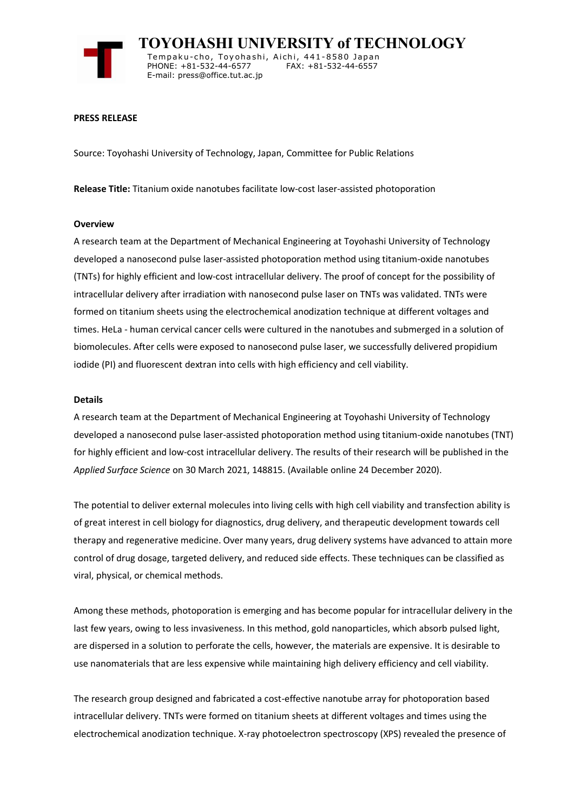

 **TOYOHASHI UNIVERSITY of TECHNOLOGY** Tempaku-cho, Toyohashi, Aichi, 441-8580 Japan<br>PHONE: +81-532-44-6577 FAX: +81-532-44-6557 PHONE: +81-532-44-6577 E-mail: press@office.tut.ac.jp

#### **PRESS RELEASE**

Source: Toyohashi University of Technology, Japan, Committee for Public Relations

**Release Title:** Titanium oxide nanotubes facilitate low-cost laser-assisted photoporation

#### **Overview**

A research team at the Department of Mechanical Engineering at Toyohashi University of Technology developed a nanosecond pulse laser-assisted photoporation method using titanium-oxide nanotubes (TNTs) for highly efficient and low-cost intracellular delivery. The proof of concept for the possibility of intracellular delivery after irradiation with nanosecond pulse laser on TNTs was validated. TNTs were formed on titanium sheets using the electrochemical anodization technique at different voltages and times. HeLa - human cervical cancer cells were cultured in the nanotubes and submerged in a solution of biomolecules. After cells were exposed to nanosecond pulse laser, we successfully delivered propidium iodide (PI) and fluorescent dextran into cells with high efficiency and cell viability.

## **Details**

A research team at the Department of Mechanical Engineering at Toyohashi University of Technology developed a nanosecond pulse laser-assisted photoporation method using titanium-oxide nanotubes (TNT) for highly efficient and low-cost intracellular delivery. The results of their research will be published in the *Applied Surface Science* on 30 March 2021, 148815. (Available online 24 December 2020).

The potential to deliver external molecules into living cells with high cell viability and transfection ability is of great interest in cell biology for diagnostics, drug delivery, and therapeutic development towards cell therapy and regenerative medicine. Over many years, drug delivery systems have advanced to attain more control of drug dosage, targeted delivery, and reduced side effects. These techniques can be classified as viral, physical, or chemical methods.

Among these methods, photoporation is emerging and has become popular for intracellular delivery in the last few years, owing to less invasiveness. In this method, gold nanoparticles, which absorb pulsed light, are dispersed in a solution to perforate the cells, however, the materials are expensive. It is desirable to use nanomaterials that are less expensive while maintaining high delivery efficiency and cell viability.

The research group designed and fabricated a cost-effective nanotube array for photoporation based intracellular delivery. TNTs were formed on titanium sheets at different voltages and times using the electrochemical anodization technique. X-ray photoelectron spectroscopy (XPS) revealed the presence of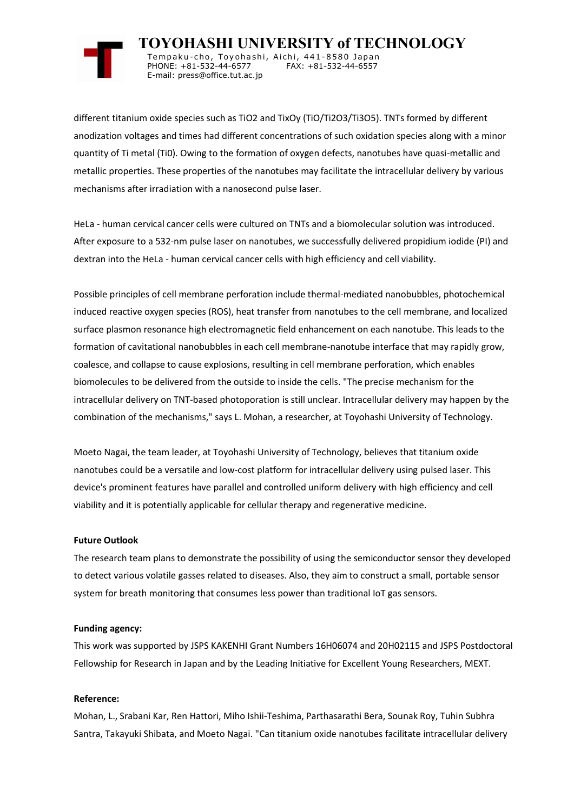

 **TOYOHASHI UNIVERSITY of TECHNOLOGY** Temp a k u-c h o , To y oh a shi , A i ch i , 4 41-858 0 Ja p an PHONE: +81-532-44-6577 E-mail: press@office.tut.ac.jp

different titanium oxide species such as TiO2 and TixOy (TiO/Ti2O3/Ti3O5). TNTs formed by different anodization voltages and times had different concentrations of such oxidation species along with a minor quantity of Ti metal (Ti0). Owing to the formation of oxygen defects, nanotubes have quasi-metallic and metallic properties. These properties of the nanotubes may facilitate the intracellular delivery by various mechanisms after irradiation with a nanosecond pulse laser.

HeLa - human cervical cancer cells were cultured on TNTs and a biomolecular solution was introduced. After exposure to a 532-nm pulse laser on nanotubes, we successfully delivered propidium iodide (PI) and dextran into the HeLa - human cervical cancer cells with high efficiency and cell viability.

Possible principles of cell membrane perforation include thermal-mediated nanobubbles, photochemical induced reactive oxygen species (ROS), heat transfer from nanotubes to the cell membrane, and localized surface plasmon resonance high electromagnetic field enhancement on each nanotube. This leads to the formation of cavitational nanobubbles in each cell membrane-nanotube interface that may rapidly grow, coalesce, and collapse to cause explosions, resulting in cell membrane perforation, which enables biomolecules to be delivered from the outside to inside the cells. "The precise mechanism for the intracellular delivery on TNT-based photoporation is still unclear. Intracellular delivery may happen by the combination of the mechanisms," says L. Mohan, a researcher, at Toyohashi University of Technology.

Moeto Nagai, the team leader, at Toyohashi University of Technology, believes that titanium oxide nanotubes could be a versatile and low-cost platform for intracellular delivery using pulsed laser. This device's prominent features have parallel and controlled uniform delivery with high efficiency and cell viability and it is potentially applicable for cellular therapy and regenerative medicine.

#### **Future Outlook**

The research team plans to demonstrate the possibility of using the semiconductor sensor they developed to detect various volatile gasses related to diseases. Also, they aim to construct a small, portable sensor system for breath monitoring that consumes less power than traditional IoT gas sensors.

#### **Funding agency:**

This work was supported by JSPS KAKENHI Grant Numbers 16H06074 and 20H02115 and JSPS Postdoctoral Fellowship for Research in Japan and by the Leading Initiative for Excellent Young Researchers, MEXT.

## **Reference:**

Mohan, L., Srabani Kar, Ren Hattori, Miho Ishii-Teshima, Parthasarathi Bera, Sounak Roy, Tuhin Subhra Santra, Takayuki Shibata, and Moeto Nagai. "Can titanium oxide nanotubes facilitate intracellular delivery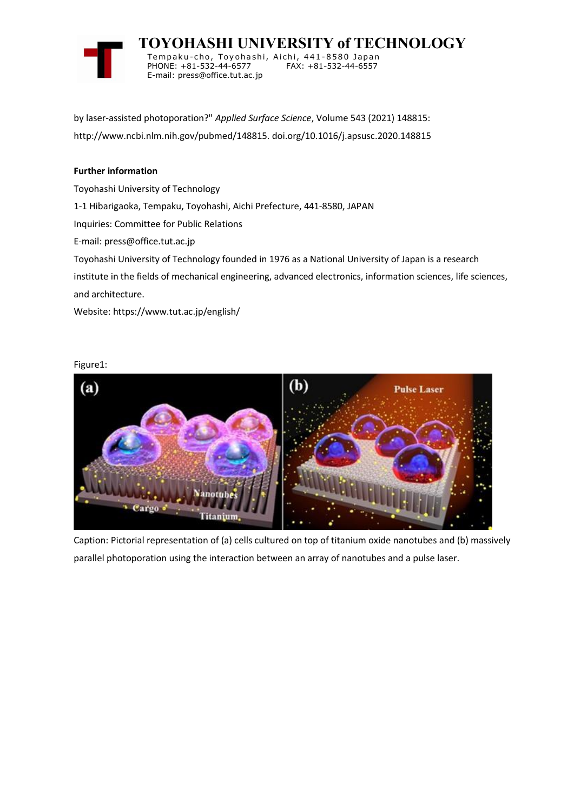

 **TOYOHASHI UNIVERSITY of TECHNOLOGY** Tempaku-cho, Toyohashi, Aichi, 441-8580 Japan<br>PHONE: +81-532-44-6577 FAX: +81-532-44-6557 PHONE: +81-532-44-6577 E-mail: press@office.tut.ac.jp

by laser-assisted photoporation?" *Applied Surface Science*, Volume 543 (2021) 148815: http://www.ncbi.nlm.nih.gov/pubmed/148815. doi.org/10.1016/j.apsusc.2020.148815

# **Further information**

Toyohashi University of Technology

1-1 Hibarigaoka, Tempaku, Toyohashi, Aichi Prefecture, 441-8580, JAPAN

Inquiries: Committee for Public Relations

E-mail: press@office.tut.ac.jp

Toyohashi University of Technology founded in 1976 as a National University of Japan is a research

institute in the fields of mechanical engineering, advanced electronics, information sciences, life sciences, and architecture.

Website: https://www.tut.ac.jp/english/

# (Ь)  $(a)$ **Pulse Laser** Titanium.

Caption: Pictorial representation of (a) cells cultured on top of titanium oxide nanotubes and (b) massively parallel photoporation using the interaction between an array of nanotubes and a pulse laser.

# Figure1: